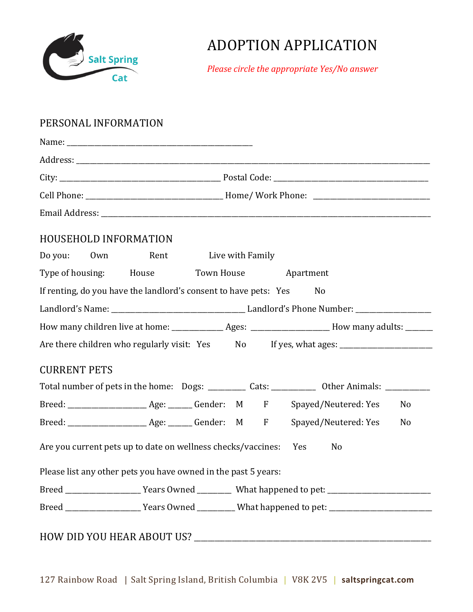

## ADOPTION APPLICATION

*Please circle the appropriate Yes/No answer*

## PERSONAL INFORMATION

|                                                                                                     | <b>HOUSEHOLD INFORMATION</b>                                     |  |  |                                                                                                                |                                                                                                      |    |  |  |
|-----------------------------------------------------------------------------------------------------|------------------------------------------------------------------|--|--|----------------------------------------------------------------------------------------------------------------|------------------------------------------------------------------------------------------------------|----|--|--|
| Rent Live with Family<br>Do you: Own                                                                |                                                                  |  |  |                                                                                                                |                                                                                                      |    |  |  |
|                                                                                                     | Type of housing: House Town House Apartment                      |  |  |                                                                                                                |                                                                                                      |    |  |  |
|                                                                                                     | If renting, do you have the landlord's consent to have pets: Yes |  |  |                                                                                                                | No                                                                                                   |    |  |  |
|                                                                                                     |                                                                  |  |  |                                                                                                                |                                                                                                      |    |  |  |
|                                                                                                     |                                                                  |  |  |                                                                                                                |                                                                                                      |    |  |  |
|                                                                                                     |                                                                  |  |  |                                                                                                                | Are there children who regularly visit: Yes No If yes, what ages: __________________________________ |    |  |  |
| <b>CURRENT PETS</b>                                                                                 |                                                                  |  |  |                                                                                                                |                                                                                                      |    |  |  |
| Total number of pets in the home: Dogs: ____________ Cats: _____________ Other Animals: ___________ |                                                                  |  |  |                                                                                                                |                                                                                                      |    |  |  |
|                                                                                                     |                                                                  |  |  |                                                                                                                |                                                                                                      | No |  |  |
|                                                                                                     |                                                                  |  |  |                                                                                                                |                                                                                                      | No |  |  |
|                                                                                                     | Are you current pets up to date on wellness checks/vaccines: Yes |  |  |                                                                                                                | No                                                                                                   |    |  |  |
|                                                                                                     | Please list any other pets you have owned in the past 5 years:   |  |  |                                                                                                                |                                                                                                      |    |  |  |
|                                                                                                     |                                                                  |  |  |                                                                                                                |                                                                                                      |    |  |  |
|                                                                                                     |                                                                  |  |  | Breed _______________________Years Owned ____________What happened to pet: ___________________________________ |                                                                                                      |    |  |  |